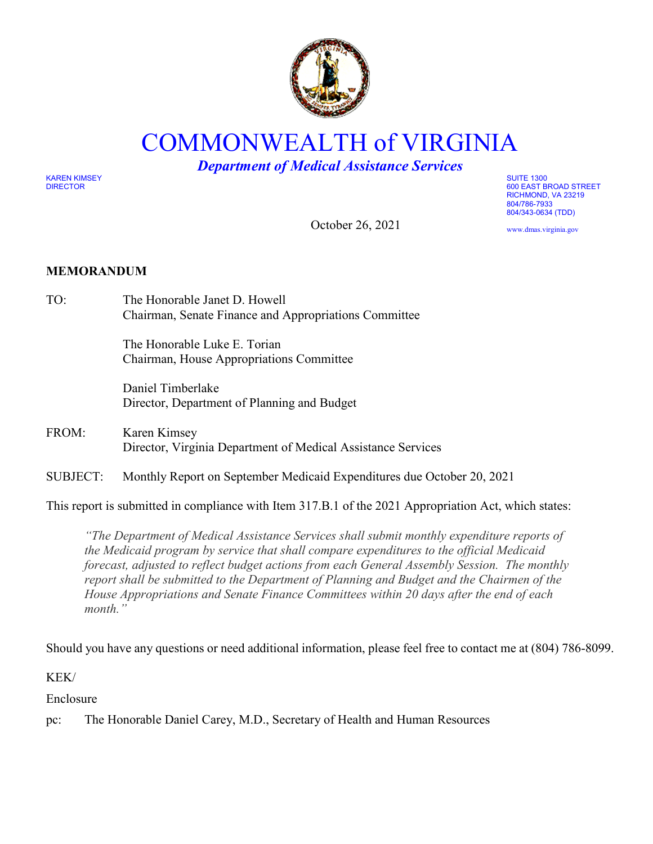

COMMONWEALTH of VIRGINIA

*Department of Medical Assistance Services*

October 26, 2021

KAREN KIMSEY SUITE 1300

DIRECTOR 600 EAST BROAD STREET RICHMOND, VA 23219 804/786-7933 804/343-0634 (TDD)

www.dmas.virginia.gov

## **MEMORANDUM**

TO: The Honorable Janet D. Howell Chairman, Senate Finance and Appropriations Committee

> The Honorable Luke E. Torian Chairman, House Appropriations Committee

Daniel Timberlake Director, Department of Planning and Budget

- FROM: Karen Kimsey Director, Virginia Department of Medical Assistance Services
- SUBJECT: Monthly Report on September Medicaid Expenditures due October 20, 2021

This report is submitted in compliance with Item 317.B.1 of the 2021 Appropriation Act, which states:

*"The Department of Medical Assistance Services shall submit monthly expenditure reports of the Medicaid program by service that shall compare expenditures to the official Medicaid forecast, adjusted to reflect budget actions from each General Assembly Session. The monthly report shall be submitted to the Department of Planning and Budget and the Chairmen of the House Appropriations and Senate Finance Committees within 20 days after the end of each month."* 

Should you have any questions or need additional information, please feel free to contact me at (804) 786-8099.

KEK/

Enclosure

pc: The Honorable Daniel Carey, M.D., Secretary of Health and Human Resources